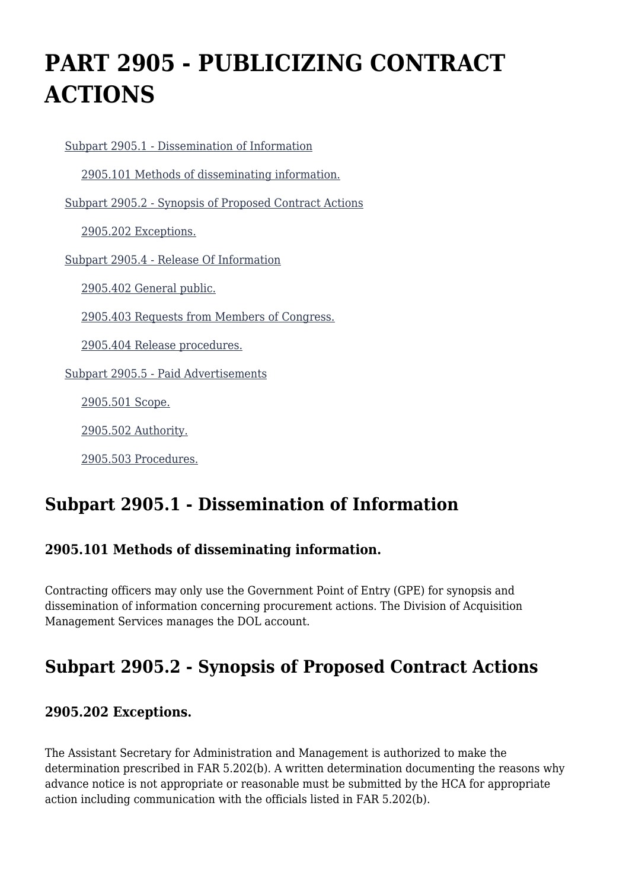# **PART 2905 - PUBLICIZING CONTRACT ACTIONS**

 [Subpart 2905.1 - Dissemination of Information](https://www.acquisition.gov/%5Brp:link:dolar-part-2905%5D#Subpart_2905_1_T48_701261) [2905.101 Methods of disseminating information.](https://www.acquisition.gov/%5Brp:link:dolar-part-2905%5D#Section_2905_101_T48_70126111) [Subpart 2905.2 - Synopsis of Proposed Contract Actions](https://www.acquisition.gov/%5Brp:link:dolar-part-2905%5D#Subpart_2905_2_T48_701262) [2905.202 Exceptions.](https://www.acquisition.gov/%5Brp:link:dolar-part-2905%5D#Section_2905_202_T48_70126211) [Subpart 2905.4 - Release Of Information](https://www.acquisition.gov/%5Brp:link:dolar-part-2905%5D#Subpart_2905_4_T48_701263) [2905.402 General public.](https://www.acquisition.gov/%5Brp:link:dolar-part-2905%5D#Section_2905_402_T48_70126311) [2905.403 Requests from Members of Congress.](https://www.acquisition.gov/%5Brp:link:dolar-part-2905%5D#Section_2905_403_T48_70126312) [2905.404 Release procedures.](https://www.acquisition.gov/%5Brp:link:dolar-part-2905%5D#Section_2905_404_T48_70126313) [Subpart 2905.5 - Paid Advertisements](https://www.acquisition.gov/%5Brp:link:dolar-part-2905%5D#Subpart_2905_5_T48_701264) [2905.501 Scope.](https://www.acquisition.gov/%5Brp:link:dolar-part-2905%5D#Section_2905_501_T48_70126411) [2905.502 Authority.](https://www.acquisition.gov/%5Brp:link:dolar-part-2905%5D#Section_2905_502_T48_70126412) [2905.503 Procedures.](https://www.acquisition.gov/%5Brp:link:dolar-part-2905%5D#Section_2905_503_T48_70126413)

## **Subpart 2905.1 - Dissemination of Information**

#### **2905.101 Methods of disseminating information.**

Contracting officers may only use the Government Point of Entry (GPE) for synopsis and dissemination of information concerning procurement actions. The Division of Acquisition Management Services manages the DOL account.

## **Subpart 2905.2 - Synopsis of Proposed Contract Actions**

#### **2905.202 Exceptions.**

The Assistant Secretary for Administration and Management is authorized to make the determination prescribed in FAR 5.202(b). A written determination documenting the reasons why advance notice is not appropriate or reasonable must be submitted by the HCA for appropriate action including communication with the officials listed in FAR 5.202(b).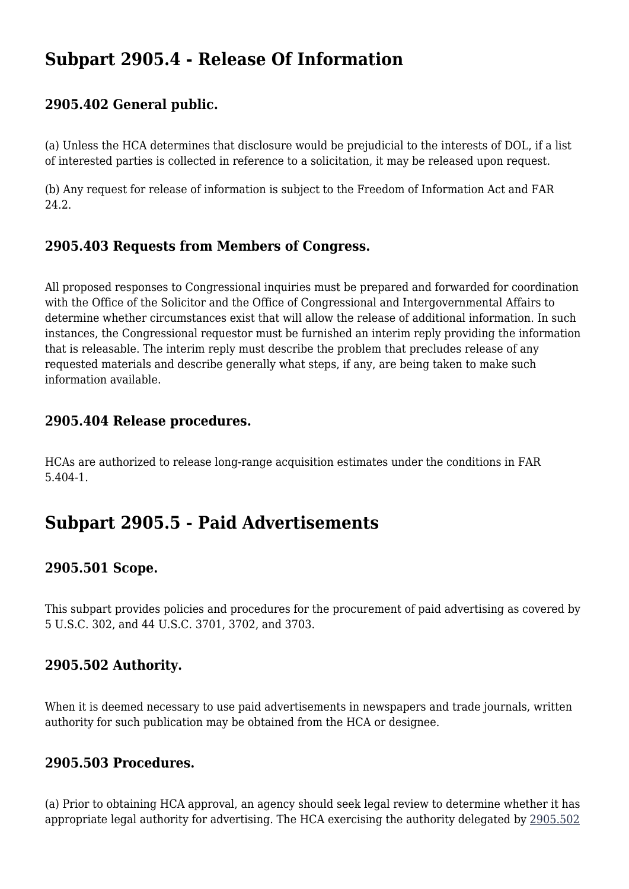### **Subpart 2905.4 - Release Of Information**

#### **2905.402 General public.**

(a) Unless the HCA determines that disclosure would be prejudicial to the interests of DOL, if a list of interested parties is collected in reference to a solicitation, it may be released upon request.

(b) Any request for release of information is subject to the Freedom of Information Act and FAR 24.2.

#### **2905.403 Requests from Members of Congress.**

All proposed responses to Congressional inquiries must be prepared and forwarded for coordination with the Office of the Solicitor and the Office of Congressional and Intergovernmental Affairs to determine whether circumstances exist that will allow the release of additional information. In such instances, the Congressional requestor must be furnished an interim reply providing the information that is releasable. The interim reply must describe the problem that precludes release of any requested materials and describe generally what steps, if any, are being taken to make such information available.

#### **2905.404 Release procedures.**

HCAs are authorized to release long-range acquisition estimates under the conditions in FAR 5.404-1.

### **Subpart 2905.5 - Paid Advertisements**

#### **2905.501 Scope.**

This subpart provides policies and procedures for the procurement of paid advertising as covered by 5 U.S.C. 302, and 44 U.S.C. 3701, 3702, and 3703.

#### **2905.502 Authority.**

When it is deemed necessary to use paid advertisements in newspapers and trade journals, written authority for such publication may be obtained from the HCA or designee.

#### **2905.503 Procedures.**

(a) Prior to obtaining HCA approval, an agency should seek legal review to determine whether it has appropriate legal authority for advertising. The HCA exercising the authority delegated by [2905.502](https://www.acquisition.gov/%5Brp:link:dolar-part-2905%5D#Section_2905_502_T48_70126412)